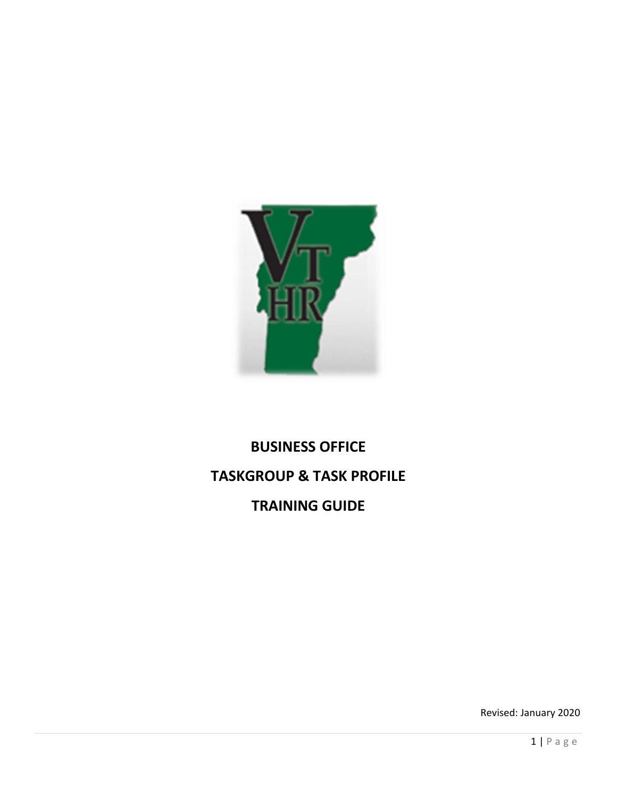

# **BUSINESS OFFICE TASKGROUP & TASK PROFILE TRAINING GUIDE**

Revised: January 2020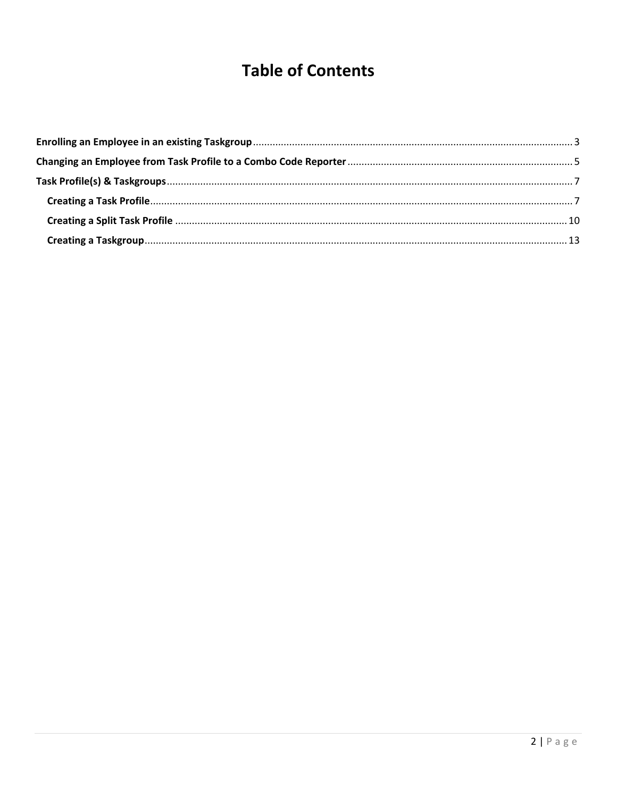## **Table of Contents**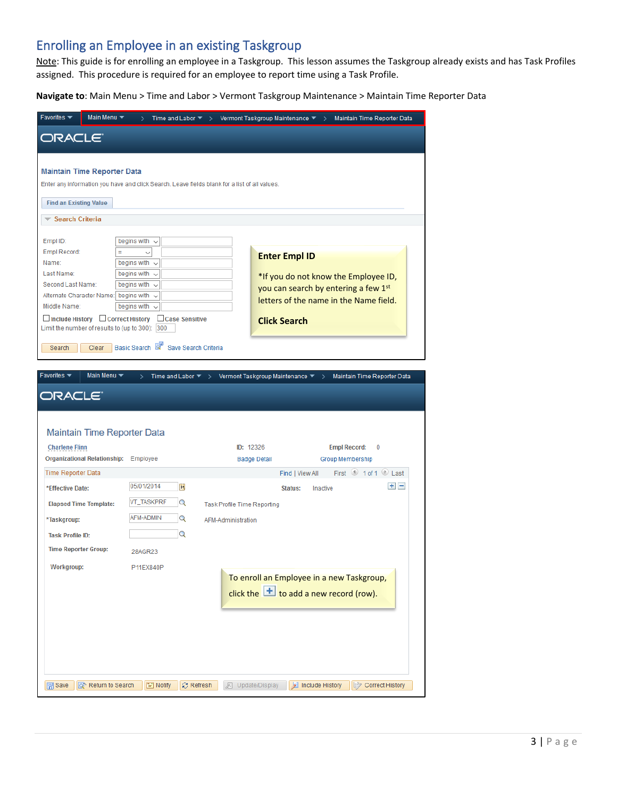### <span id="page-2-0"></span>Enrolling an Employee in an existing Taskgroup

Note: This guide is for enrolling an employee in a Taskgroup. This lesson assumes the Taskgroup already exists and has Task Profiles assigned. This procedure is required for an employee to report time using a Task Profile.

**Navigate to**: Main Menu > Time and Labor > Vermont Taskgroup Maintenance > Maintain Time Reporter Data

| Main Menu ▼<br>Favorites $\blacktriangledown$                                                 | Time and Labor $\Psi \to 0$<br>↘                     |                                    | Vermont Taskgroup Maintenance ▼ >                  | Maintain Time Reporter Data             |
|-----------------------------------------------------------------------------------------------|------------------------------------------------------|------------------------------------|----------------------------------------------------|-----------------------------------------|
| ORACLE <sup>®</sup>                                                                           |                                                      |                                    |                                                    |                                         |
|                                                                                               |                                                      |                                    |                                                    |                                         |
| <b>Maintain Time Reporter Data</b>                                                            |                                                      |                                    |                                                    |                                         |
| Enter any information you have and click Search. Leave fields blank for a list of all values. |                                                      |                                    |                                                    |                                         |
| <b>Find an Existing Value</b>                                                                 |                                                      |                                    |                                                    |                                         |
| Search Criteria                                                                               |                                                      |                                    |                                                    |                                         |
| Empl ID:                                                                                      | begins with<br>$\checkmark$                          |                                    |                                                    |                                         |
| Empl Record:                                                                                  | Ξ<br>$\checkmark$                                    |                                    |                                                    |                                         |
| Name:                                                                                         | begins with $\sim$                                   |                                    | <b>Enter Empl ID</b>                               |                                         |
| Last Name:                                                                                    | begins with $\sim$                                   |                                    | *If you do not know the Employee ID,               |                                         |
| Second Last Name:                                                                             | begins with $\sim$                                   |                                    | you can search by entering a few 1st               |                                         |
| Alternate Character Name: begins with v                                                       |                                                      |                                    | letters of the name in the Name field.             |                                         |
| Middle Name:                                                                                  | begins with $\sim$                                   |                                    |                                                    |                                         |
| □ Include History □ Correct History □ Case Sensitive                                          |                                                      |                                    | <b>Click Search</b>                                |                                         |
| Limit the number of results to (up to 300): 300                                               |                                                      |                                    |                                                    |                                         |
| Clear<br>Search                                                                               | Basic Search                                         | Save Search Criteria               |                                                    |                                         |
|                                                                                               |                                                      |                                    |                                                    |                                         |
| Favorites $\blacktriangledown$<br>Main Menu $\blacktriangledown$                              |                                                      |                                    |                                                    |                                         |
|                                                                                               | $\mathcal{P}$<br>Time and Labor $\blacktriangledown$ | $\rightarrow$                      | Vermont Taskgroup Maintenance ▼ >                  | Maintain Time Reporter Data             |
| ORACLE <sup>®</sup>                                                                           |                                                      |                                    |                                                    |                                         |
|                                                                                               |                                                      |                                    |                                                    |                                         |
|                                                                                               |                                                      |                                    |                                                    |                                         |
| Maintain Time Reporter Data                                                                   |                                                      |                                    |                                                    |                                         |
|                                                                                               |                                                      |                                    |                                                    |                                         |
| <b>Charlene Flinn</b>                                                                         |                                                      |                                    | ID: 12326<br><b>Empl Record:</b>                   | $\mathbf 0$                             |
| Organizational Relationship: Employee                                                         |                                                      |                                    | <b>Badge Detail</b><br><b>Group Membership</b>     |                                         |
| <b>Time Reporter Data</b>                                                                     |                                                      |                                    | Find   View All                                    | First $\bigcirc$ 1 of 1 $\bigcirc$ Last |
| *Effective Date:                                                                              | ÞŪ<br>05/01/2014                                     |                                    | Status:<br>Inactive                                | $+$ $-$                                 |
| <b>Elapsed Time Template:</b>                                                                 | VT_TASKPRF<br>Q                                      | <b>Task Profile Time Reporting</b> |                                                    |                                         |
| *Taskgroup:                                                                                   | <b>AFM-ADMIN</b><br>Q                                | AFM-Administration                 |                                                    |                                         |
| <b>Task Profile ID:</b>                                                                       | Q                                                    |                                    |                                                    |                                         |
| <b>Time Reporter Group:</b>                                                                   | 28AGR23                                              |                                    |                                                    |                                         |
| Workgroup:                                                                                    | P11EX840P                                            |                                    |                                                    |                                         |
|                                                                                               |                                                      |                                    | To enroll an Employee in a new Taskgroup,          |                                         |
|                                                                                               |                                                      |                                    | click the $\boxed{\pm}$ to add a new record (row). |                                         |
|                                                                                               |                                                      |                                    |                                                    |                                         |
|                                                                                               |                                                      |                                    |                                                    |                                         |
|                                                                                               |                                                      |                                    |                                                    |                                         |
|                                                                                               |                                                      |                                    |                                                    |                                         |
|                                                                                               |                                                      |                                    |                                                    |                                         |
|                                                                                               |                                                      |                                    |                                                    |                                         |
|                                                                                               |                                                      |                                    |                                                    |                                         |
| 闸 Save<br>oth Return to Search                                                                | $\equiv$ Notify                                      | <b>B</b> Refresh<br>犀              | Update/Display<br>Include History                  | <b>Correct History</b>                  |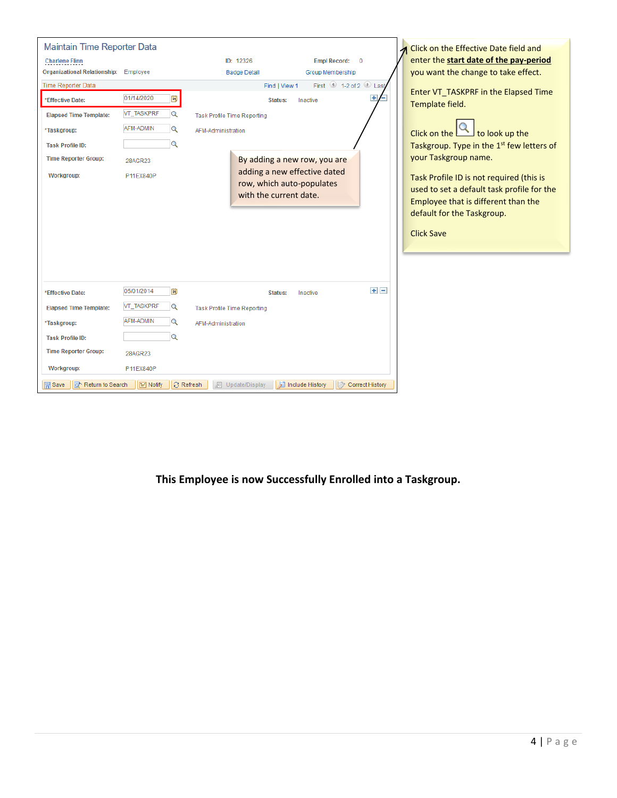| <b>Maintain Time Reporter Data</b>    |                        |                                      |                                                            |                        | Click on the Effective Date field and                 |
|---------------------------------------|------------------------|--------------------------------------|------------------------------------------------------------|------------------------|-------------------------------------------------------|
| <b>Charlene Flinn</b>                 |                        | ID: 12326                            | <b>Empl Record:</b>                                        | $\overline{0}$         | enter the start date of the pay-period                |
| Organizational Relationship: Employee |                        | <b>Badge Detail</b>                  | Group Membership                                           |                        | you want the change to take effect.                   |
| Time Reporter Data                    |                        |                                      | First $\bigcirc$ 1-2 of 2 $\bigcirc$ Last<br>Find   View 1 |                        | Enter VT TASKPRF in the Elapsed Time                  |
| *Effective Date:                      | 01/14/2020<br>BU       | <b>Status:</b>                       | Inactive                                                   | ÷                      | Template field.                                       |
| <b>Elapsed Time Template:</b>         | <b>VT_TASKPRF</b><br>Q | <b>Task Profile Time Reporting</b>   |                                                            |                        |                                                       |
| *Taskgroup:                           | AFM-ADMIN<br>Q         | AFM-Administration                   |                                                            |                        | to look up the<br>Click on the L                      |
| <b>Task Profile ID:</b>               | Q                      |                                      |                                                            |                        | Taskgroup. Type in the 1 <sup>st</sup> few letters of |
| <b>Time Reporter Group:</b>           | 28AGR23                |                                      | By adding a new row, you are                               |                        | your Taskgroup name.                                  |
| Workgroup:                            | P11EX840P              |                                      | adding a new effective dated                               |                        | Task Profile ID is not required (this is              |
|                                       |                        |                                      | row, which auto-populates                                  |                        | used to set a default task profile for the            |
|                                       |                        | with the current date.               |                                                            |                        | Employee that is different than the                   |
|                                       |                        |                                      |                                                            |                        | default for the Taskgroup.                            |
|                                       |                        |                                      |                                                            |                        | <b>Click Save</b>                                     |
|                                       |                        |                                      |                                                            |                        |                                                       |
|                                       |                        |                                      |                                                            |                        |                                                       |
|                                       |                        |                                      |                                                            |                        |                                                       |
| *Effective Date:                      | 05/01/2014<br>Ħ        | <b>Status:</b>                       | Inactive                                                   | $+$ $-$                |                                                       |
| <b>Elapsed Time Template:</b>         | VT_TASKPRF<br>Q        | <b>Task Profile Time Reporting</b>   |                                                            |                        |                                                       |
| *Taskgroup:                           | <b>AFM-ADMIN</b><br>Q  | AFM-Administration                   |                                                            |                        |                                                       |
| <b>Task Profile ID:</b>               | Q                      |                                      |                                                            |                        |                                                       |
| <b>Time Reporter Group:</b>           | 28AGR23                |                                      |                                                            |                        |                                                       |
| Workgroup:                            | P11EX840P              |                                      |                                                            |                        |                                                       |
| Return to Search<br><b>日</b> Save     | $\equiv$ Notify        | 圆 Update/Display<br><b>C</b> Refresh | Include History                                            | <b>Correct History</b> |                                                       |

**This Employee is now Successfully Enrolled into a Taskgroup.**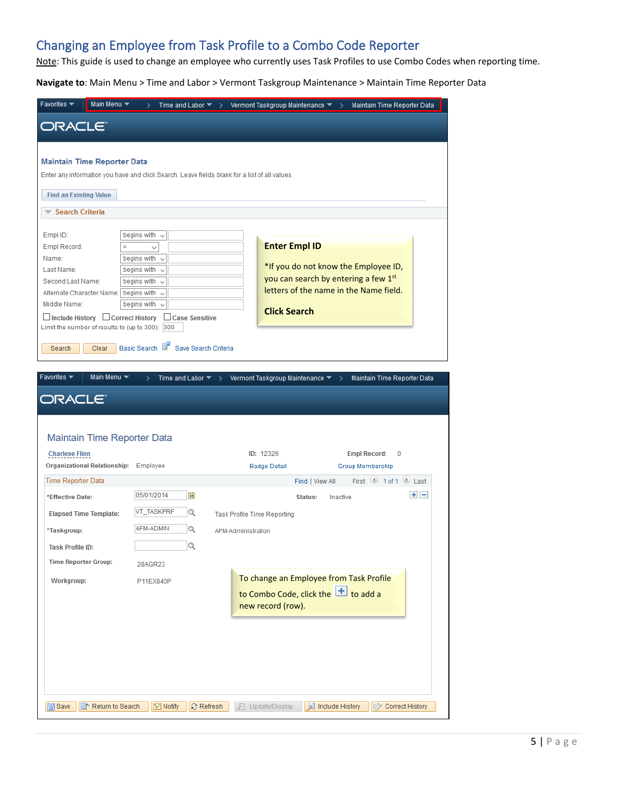## <span id="page-4-0"></span>Changing an Employee from Task Profile to a Combo Code Reporter

Note: This guide is used to change an employee who currently uses Task Profiles to use Combo Codes when reporting time.

**Navigate to**: Main Menu > Time and Labor > Vermont Taskgroup Maintenance > Maintain Time Reporter Data

| Favorites $\blacktriangledown$<br>Main Menu $\blacktriangledown$                              | $\rightarrow$                                                                                       | Time and Labor $\blacktriangledown$ > | Vermont Taskgroup Maintenance     | $\rightarrow$                                                                  | Maintain Time Reporter Data             |
|-----------------------------------------------------------------------------------------------|-----------------------------------------------------------------------------------------------------|---------------------------------------|-----------------------------------|--------------------------------------------------------------------------------|-----------------------------------------|
|                                                                                               |                                                                                                     |                                       |                                   |                                                                                |                                         |
| ORACLE <sup>®</sup>                                                                           |                                                                                                     |                                       |                                   |                                                                                |                                         |
|                                                                                               |                                                                                                     |                                       |                                   |                                                                                |                                         |
| <b>Maintain Time Reporter Data</b>                                                            |                                                                                                     |                                       |                                   |                                                                                |                                         |
| Enter any information you have and click Search. Leave fields blank for a list of all values. |                                                                                                     |                                       |                                   |                                                                                |                                         |
|                                                                                               |                                                                                                     |                                       |                                   |                                                                                |                                         |
| <b>Find an Existing Value</b>                                                                 |                                                                                                     |                                       |                                   |                                                                                |                                         |
| Search Criteria                                                                               |                                                                                                     |                                       |                                   |                                                                                |                                         |
| Empl ID:                                                                                      | begins with $\sim$                                                                                  |                                       |                                   |                                                                                |                                         |
| Empl Record:<br>Ξ                                                                             | $\checkmark$                                                                                        |                                       | <b>Enter Empl ID</b>              |                                                                                |                                         |
| Name:                                                                                         | begins with $\sim$                                                                                  |                                       |                                   |                                                                                |                                         |
| Last Name:                                                                                    | begins with $\sim$                                                                                  |                                       |                                   | *If you do not know the Employee ID,                                           |                                         |
| Second Last Name:                                                                             | begins with $\sim$                                                                                  |                                       |                                   | you can search by entering a few 1st<br>letters of the name in the Name field. |                                         |
| Alternate Character Name: begins with $\sim$<br>Middle Name:                                  | begins with<br>$\checkmark$                                                                         |                                       |                                   |                                                                                |                                         |
| □ Include History □ Correct History                                                           |                                                                                                     | $\Box$ Case Sensitive                 | <b>Click Search</b>               |                                                                                |                                         |
| Limit the number of results to (up to 300): 300                                               |                                                                                                     |                                       |                                   |                                                                                |                                         |
|                                                                                               | Basic Search <b>R</b> Save Search Criteria                                                          |                                       |                                   |                                                                                |                                         |
| Clear<br>Search                                                                               |                                                                                                     |                                       |                                   |                                                                                |                                         |
|                                                                                               |                                                                                                     |                                       |                                   |                                                                                |                                         |
| Favorites $\blacktriangledown$<br>Main Menu $\blacktriangledown$                              | $\left. \right. \right. \left. \right. \left. \right. \left. \right. \left. \right. \left. \right.$ | Time and Labor $\blacktriangledown$ > | Vermont Taskgroup Maintenance ▼ > |                                                                                | Maintain Time Reporter Data             |
| ORACLE <sup>®</sup>                                                                           |                                                                                                     |                                       |                                   |                                                                                |                                         |
|                                                                                               |                                                                                                     |                                       |                                   |                                                                                |                                         |
|                                                                                               |                                                                                                     |                                       |                                   |                                                                                |                                         |
| <b>Maintain Time Reporter Data</b>                                                            |                                                                                                     |                                       |                                   |                                                                                |                                         |
| <b>Charlene Flinn</b>                                                                         |                                                                                                     |                                       | ID: 12326                         | <b>Empl Record:</b>                                                            | $\mathbf 0$                             |
| Organizational Relationship: Employee                                                         |                                                                                                     |                                       | <b>Badge Detail</b>               | Group Membership                                                               |                                         |
| <b>Time Reporter Data</b>                                                                     |                                                                                                     |                                       |                                   | Find   View All                                                                | First $\bigcirc$ 1 of 1 $\bigcirc$ Last |
| *Effective Date:                                                                              | 05/01/2014                                                                                          | Þij                                   |                                   | Status:<br>Inactive                                                            | $+$ $-$                                 |
| <b>Elapsed Time Template:</b>                                                                 | VT_TASKPRF                                                                                          | Q                                     | Task Profile Time Reporting       |                                                                                |                                         |
| *Taskgroup:                                                                                   | AFM-ADMIN                                                                                           | Q                                     | AFM-Administration                |                                                                                |                                         |
|                                                                                               |                                                                                                     |                                       |                                   |                                                                                |                                         |
| <b>Task Profile ID:</b>                                                                       |                                                                                                     | Q                                     |                                   |                                                                                |                                         |
| <b>Time Reporter Group:</b>                                                                   | 28AGR23                                                                                             |                                       |                                   |                                                                                |                                         |
| <b>Workgroup:</b>                                                                             | P11EX840P                                                                                           |                                       |                                   | To change an Employee from Task Profile                                        |                                         |
|                                                                                               |                                                                                                     |                                       |                                   | to Combo Code, click the to add a                                              |                                         |
|                                                                                               |                                                                                                     |                                       | new record (row).                 |                                                                                |                                         |
|                                                                                               |                                                                                                     |                                       |                                   |                                                                                |                                         |
|                                                                                               |                                                                                                     |                                       |                                   |                                                                                |                                         |
|                                                                                               |                                                                                                     |                                       |                                   |                                                                                |                                         |
|                                                                                               |                                                                                                     |                                       |                                   |                                                                                |                                         |
|                                                                                               |                                                                                                     |                                       |                                   |                                                                                |                                         |
|                                                                                               |                                                                                                     |                                       |                                   |                                                                                |                                         |
|                                                                                               |                                                                                                     |                                       |                                   |                                                                                |                                         |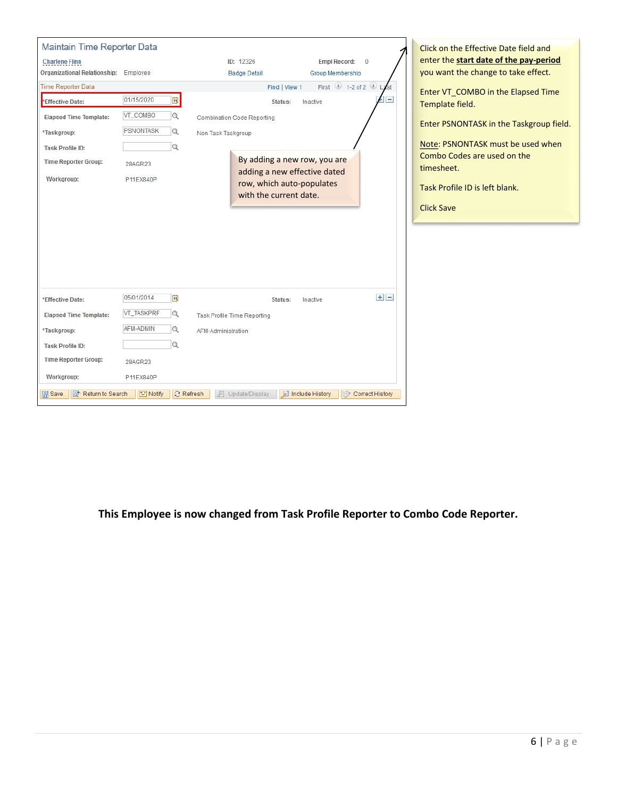

#### **This Employee is now changed from Task Profile Reporter to Combo Code Reporter.**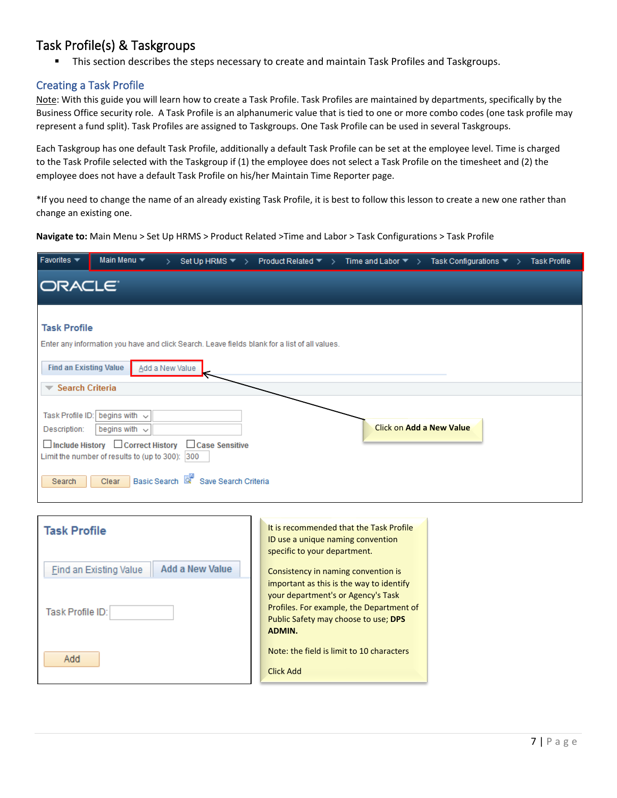## <span id="page-6-0"></span>Task Profile(s) & Taskgroups

**This section describes the steps necessary to create and maintain Task Profiles and Taskgroups.** 

#### <span id="page-6-1"></span>Creating a Task Profile

Note: With this guide you will learn how to create a Task Profile. Task Profiles are maintained by departments, specifically by the Business Office security role. A Task Profile is an alphanumeric value that is tied to one or more combo codes (one task profile may represent a fund split). Task Profiles are assigned to Taskgroups. One Task Profile can be used in several Taskgroups.

Each Taskgroup has one default Task Profile, additionally a default Task Profile can be set at the employee level. Time is charged to the Task Profile selected with the Taskgroup if (1) the employee does not select a Task Profile on the timesheet and (2) the employee does not have a default Task Profile on his/her Maintain Time Reporter page.

\*If you need to change the name of an already existing Task Profile, it is best to follow this lesson to create a new one rather than change an existing one.

**Navigate to:** Main Menu > Set Up HRMS > Product Related >Time and Labor > Task Configurations > Task Profile

| Favorites $\blacktriangledown$<br>Main Menu $\blacktriangledown$<br>$\rightarrow$                                                                                                                                                                               | Set Up HRMS $\blacktriangledown \ \gt$ Product Related $\blacktriangledown \ \gt$ Time and Labor $\blacktriangledown \ \gt$ Task Configurations $\blacktriangledown \ \gt$ | <b>Task Profile</b> |
|-----------------------------------------------------------------------------------------------------------------------------------------------------------------------------------------------------------------------------------------------------------------|----------------------------------------------------------------------------------------------------------------------------------------------------------------------------|---------------------|
| ORACLE <sup>®</sup>                                                                                                                                                                                                                                             |                                                                                                                                                                            |                     |
| <b>Task Profile</b><br>Enter any information you have and click Search. Leave fields blank for a list of all values.                                                                                                                                            |                                                                                                                                                                            |                     |
| <b>Find an Existing Value</b><br>Add a New Value<br><b>Search Criteria</b><br>$\overline{\phantom{a}}$                                                                                                                                                          |                                                                                                                                                                            |                     |
| Task Profile ID:<br>begins with $\sim$<br>begins with $\sim$<br>Description:<br>□ Include History □ Correct History<br>□ Case Sensitive<br>Limit the number of results to (up to 300): 300<br>Basic Search <b>&amp;</b> Save Search Criteria<br>Clear<br>Search | <b>Click on Add a New Value</b>                                                                                                                                            |                     |

| <b>Task Profile</b>                              | It is recommended that the Task Profile<br>ID use a unique naming convention<br>specific to your department.                                                                 |
|--------------------------------------------------|------------------------------------------------------------------------------------------------------------------------------------------------------------------------------|
| Add a New Value<br><b>Find an Existing Value</b> | Consistency in naming convention is                                                                                                                                          |
| Task Profile ID:                                 | important as this is the way to identify<br>your department's or Agency's Task<br>Profiles. For example, the Department of<br>Public Safety may choose to use; DPS<br>ADMIN. |
| Add                                              | Note: the field is limit to 10 characters<br>Click Add                                                                                                                       |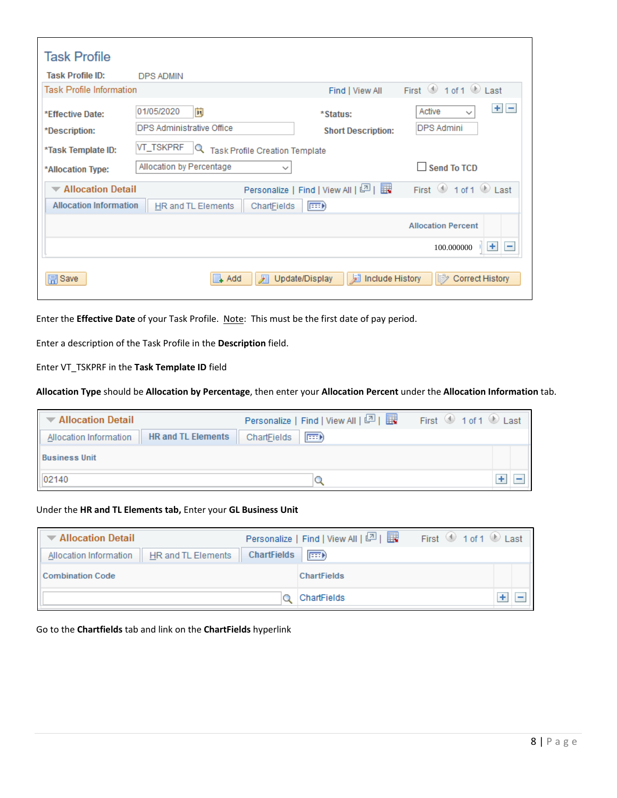| <b>Task Profile</b>               |                                                         |                                                   |                                                      |
|-----------------------------------|---------------------------------------------------------|---------------------------------------------------|------------------------------------------------------|
| <b>Task Profile ID:</b>           | <b>DPS ADMIN</b>                                        |                                                   |                                                      |
| Task Profile Information          |                                                         | Find   View All                                   | First 1 of 1 D Last                                  |
| *Effective Date:<br>*Description: | Γij<br>01/05/2020<br><b>DPS Administrative Office</b>   | *Status:<br><b>Short Description:</b>             | $+ -$<br>Active<br>$\checkmark$<br><b>DPS Admini</b> |
| *Task Template ID:                | VT_TSKPRF<br>Q<br><b>Task Profile Creation Template</b> |                                                   |                                                      |
| *Allocation Type:                 | Allocation by Percentage                                | $\checkmark$                                      | <b>Send To TCD</b>                                   |
| Allocation Detail                 |                                                         | Personalize   Find   View All   الطبية   والطبيقة | First $\bigcirc$ 1 of 1 $\bigcirc$ Last              |
| <b>Allocation Information</b>     | HR and TL Elements<br>ChartFields                       | $E = 0$                                           |                                                      |
|                                   |                                                         |                                                   | <b>Allocation Percent</b>                            |
|                                   |                                                         |                                                   | $+$<br>-<br>100.000000                               |
| 闸 Save                            | ∕<br>≣L Add                                             | Include History<br>Update/Display                 | 股<br>Correct History                                 |

Enter the **Effective Date** of your Task Profile. Note: This must be the first date of pay period.

Enter a description of the Task Profile in the **Description** field.

Enter VT\_TSKPRF in the **Task Template ID** field

**Allocation Type** should be **Allocation by Percentage**, then enter your **Allocation Percent** under the **Allocation Information** tab.

| $\mathbb{R}$ $\blacktriangleright$ Allocation Detail |                                                                      | Personalize   Find   View All   2   표 | First $\bigcirc$ 1 of 1 $\bigcirc$ Last |  |
|------------------------------------------------------|----------------------------------------------------------------------|---------------------------------------|-----------------------------------------|--|
|                                                      | Allocation Information    HR and TL Elements    ChartFields   F.E.D. |                                       |                                         |  |
| <b>Business Unit</b>                                 |                                                                      |                                       |                                         |  |
| 02140                                                |                                                                      |                                       |                                         |  |

#### Under the **HR and TL Elements tab,** Enter your **GL Business Unit**

| Allocation Detail                                           |                    | Personalize   Find   View All   2   ま | First 1 of 1 D Last |
|-------------------------------------------------------------|--------------------|---------------------------------------|---------------------|
| Allocation Information    HR and TL Elements    ChartFields | (FEED)             |                                       |                     |
| <b>Combination Code</b>                                     | <b>ChartFields</b> |                                       |                     |
|                                                             | ChartFields        |                                       |                     |

Go to the **Chartfields** tab and link on the **ChartFields** hyperlink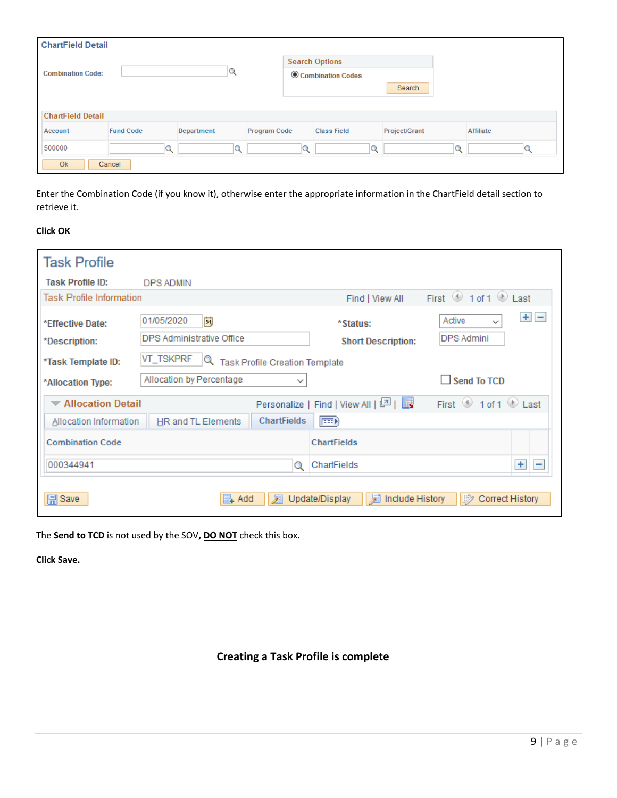| <b>ChartField Detail</b> |                  |                       |                     |                    |               |           |
|--------------------------|------------------|-----------------------|---------------------|--------------------|---------------|-----------|
|                          |                  | <b>Search Options</b> |                     |                    |               |           |
| <b>Combination Code:</b> |                  | Q                     |                     | Combination Codes  |               |           |
|                          |                  |                       |                     |                    | Search        |           |
|                          |                  |                       |                     |                    |               |           |
| <b>ChartField Detail</b> |                  |                       |                     |                    |               |           |
| Account                  | <b>Fund Code</b> | Department            | <b>Program Code</b> | <b>Class Field</b> | Project/Grant | Affiliate |
| 500000                   | Q                | ч                     | Q                   | $\mathbf Q$        | $\alpha$      | Q         |
| Ok                       | Cancel           |                       |                     |                    |               |           |

Enter the Combination Code (if you know it), otherwise enter the appropriate information in the ChartField detail section to retrieve it.

#### **Click OK**

| <b>Task Profile</b>                    |                                                  |                                        |                                               |
|----------------------------------------|--------------------------------------------------|----------------------------------------|-----------------------------------------------|
| Task Profile ID:                       | <b>DPS ADMIN</b>                                 |                                        |                                               |
| <b>Task Profile Information</b>        |                                                  | Find   View All                        | First $\bigcirc$ 1 of 1 $\bigcirc$ Last       |
| *Effective Date:<br>*Description:      | Ħ<br>01/05/2020<br>DPS Administrative Office     | *Status:<br><b>Short Description:</b>  | $+ -$<br>Active<br>$\checkmark$<br>DPS Admini |
| *Task Template ID:                     | VT_TSKPRF<br>Q<br>Task Profile Creation Template |                                        |                                               |
| *Allocation Type:                      | Allocation by Percentage<br>$\check{ }$          |                                        | Send To TCD                                   |
| $\blacktriangledown$ Allocation Detail |                                                  | Personalize   Find   View All   의   展  | First $\bigcirc$ 1 of 1 $\bigcirc$ Last       |
| Allocation Information                 | <b>ChartFields</b><br>HR and TL Elements         | $\ket{m}$                              |                                               |
| <b>Combination Code</b>                |                                                  | <b>ChartFields</b>                     |                                               |
| 000344941                              | Q                                                | ChartFields                            | ÷<br>-                                        |
| <b>開</b> Save                          | 昆 Add<br>囩                                       | 同<br>Include History<br>Update/Display | <b>Correct History</b><br>眇                   |

The **Send to TCD** is not used by the SOV**, DO NOT** check this box**.**

**Click Save.**

**Creating a Task Profile is complete**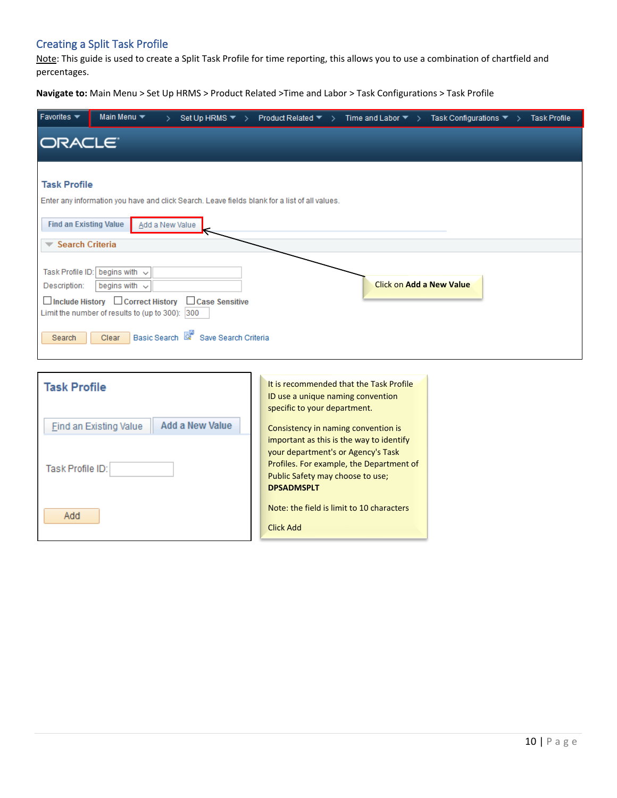#### <span id="page-9-0"></span>Creating a Split Task Profile

Note: This guide is used to create a Split Task Profile for time reporting, this allows you to use a combination of chartfield and percentages.

**Navigate to:** Main Menu > Set Up HRMS > Product Related >Time and Labor > Task Configurations > Task Profile

| Main Menu $\blacktriangledown$<br>Favorites $\blacktriangledown$<br>Set Up HRMS $\blacktriangledown$ > Product Related $\blacktriangledown$ > Time and Labor $\blacktriangledown$ > Task Configurations $\blacktriangledown$ ><br><b>Task Profile</b><br>$\rightarrow$                       |
|----------------------------------------------------------------------------------------------------------------------------------------------------------------------------------------------------------------------------------------------------------------------------------------------|
| ORACLE <sup>®</sup>                                                                                                                                                                                                                                                                          |
| <b>Task Profile</b><br>Enter any information you have and click Search. Leave fields blank for a list of all values.<br><b>Find an Existing Value</b><br>Add a New Value                                                                                                                     |
| Search Criteria                                                                                                                                                                                                                                                                              |
| Task Profile ID:<br>begins with $\sim$<br><b>Click on Add a New Value</b><br>begins with $\sim$<br>Description:<br>□ Include History □ Correct History<br>Case Sensitive<br>Limit the number of results to (up to 300): 300<br>Basic Search <b>Q</b> Save Search Criteria<br>Clear<br>Search |
| that the proposition of a constant and a large than the control of the constant of the control of the constant of the control of the control of the control of the control of the control of the control of the control of the                                                               |

| <b>Task Profile</b>                              | It is recommended that the Task Profile<br>ID use a unique naming convention<br>specific to your department.                                                                        |
|--------------------------------------------------|-------------------------------------------------------------------------------------------------------------------------------------------------------------------------------------|
| Add a New Value<br><b>Find an Existing Value</b> | Consistency in naming convention is                                                                                                                                                 |
| Task Profile ID:                                 | important as this is the way to identify<br>your department's or Agency's Task<br>Profiles. For example, the Department of<br>Public Safety may choose to use;<br><b>DPSADMSPLT</b> |
| Add                                              | Note: the field is limit to 10 characters<br>Click Add                                                                                                                              |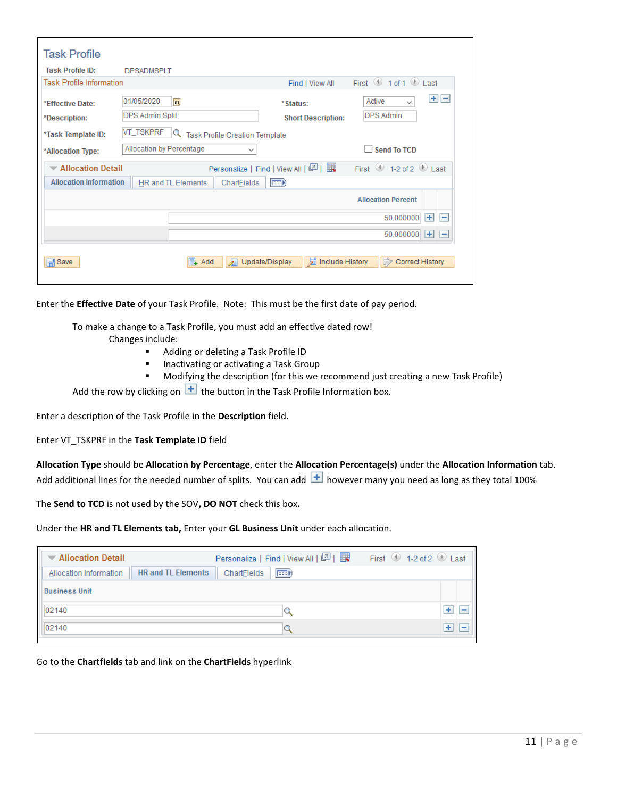| <b>Task Profile ID:</b>                                 | <b>DPSADMSPLT</b>                                                                                           |                                       |                                            |                         |
|---------------------------------------------------------|-------------------------------------------------------------------------------------------------------------|---------------------------------------|--------------------------------------------|-------------------------|
| <b>Task Profile Information</b>                         |                                                                                                             | Find   View All                       | First 1 of 1 D Last                        |                         |
| *Effective Date:<br>*Description:<br>*Task Template ID: | 01/05/2020<br>Ħ<br><b>DPS Admin Split</b><br><b>VT TSKPRF</b><br>Q<br><b>Task Profile Creation Template</b> | *Status:<br><b>Short Description:</b> | Active<br>$\checkmark$<br><b>DPS Admin</b> | $+$ $-$                 |
| *Allocation Type:                                       | Allocation by Percentage<br>$\checkmark$                                                                    |                                       | Send To TCD                                |                         |
| $\blacktriangledown$ Allocation Detail                  |                                                                                                             | Personalize   Find   View All   미국    | First $\bigcirc$ 1-2 of 2 $\bigcirc$ Last  |                         |
| <b>Allocation Information</b>                           | <b>HR</b> and TL Elements<br>ChartFields                                                                    | $ mn\rangle$                          |                                            |                         |
|                                                         |                                                                                                             |                                       | <b>Allocation Percent</b>                  |                         |
|                                                         |                                                                                                             |                                       | 50.000000                                  | $+1$<br>$\overline{ }$  |
|                                                         |                                                                                                             |                                       | 50.000000                                  | $\left  + \right $<br>- |

Enter the **Effective Date** of your Task Profile. Note: This must be the first date of pay period.

To make a change to a Task Profile, you must add an effective dated row!

Changes include:

- Adding or deleting a Task Profile ID
- Inactivating or activating a Task Group
- Modifying the description (for this we recommend just creating a new Task Profile)

Add the row by clicking on  $\left| \frac{1}{\cdot} \right|$  the button in the Task Profile Information box.

Enter a description of the Task Profile in the **Description** field.

Enter VT\_TSKPRF in the **Task Template ID** field

**Allocation Type** should be **Allocation by Percentage**, enter the **Allocation Percentage(s)** under the **Allocation Information** tab. Add additional lines for the needed number of splits. You can add  $\Box$  however many you need as long as they total 100%

The **Send to TCD** is not used by the SOV**, DO NOT** check this box**.**

Under the **HR and TL Elements tab,** Enter your **GL Business Unit** under each allocation.

| $\blacktriangledown$ Allocation Detail              | Personalize   Find   View All   2   표 | First $\bigcirc$ 1-2 of 2 $\bigcirc$ Last |
|-----------------------------------------------------|---------------------------------------|-------------------------------------------|
| <b>HR</b> and TL Elements<br>Allocation Information | ChartEields<br>(EEED)                 |                                           |
| <b>Business Unit</b>                                |                                       |                                           |
| 02140                                               |                                       |                                           |
| 02140                                               |                                       |                                           |

Go to the **Chartfields** tab and link on the **ChartFields** hyperlink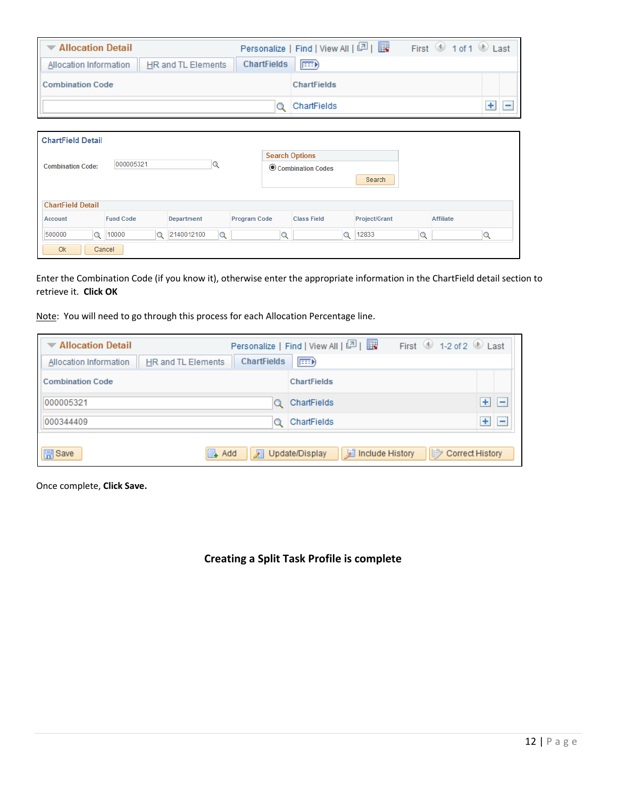| Allocation Detail                                         | Personalize   Find   View All   2   ま | First $\bigcirc$ 1 of 1 $\bigcirc$ Last |
|-----------------------------------------------------------|---------------------------------------|-----------------------------------------|
| Allocation Information   HR and TL Elements   ChartFields | (FEED)                                |                                         |
| <b>Combination Code</b>                                   | <b>ChartFields</b>                    |                                         |
|                                                           | ChartFields                           |                                         |
|                                                           |                                       |                                         |

| <b>ChartField Detail</b> |                   |                                       |                     |   |                       |   |               |   |                  |
|--------------------------|-------------------|---------------------------------------|---------------------|---|-----------------------|---|---------------|---|------------------|
|                          |                   |                                       |                     |   | <b>Search Options</b> |   |               |   |                  |
| <b>Combination Code:</b> | 000005321         | Ч                                     |                     |   | Combination Codes     |   |               |   |                  |
|                          |                   |                                       |                     |   |                       |   | Search        |   |                  |
|                          |                   |                                       |                     |   |                       |   |               |   |                  |
| <b>ChartField Detail</b> |                   |                                       |                     |   |                       |   |               |   |                  |
| <b>Account</b>           | <b>Fund Code</b>  | Department                            | <b>Program Code</b> |   | <b>Class Field</b>    |   | Project/Grant |   | <b>Affiliate</b> |
| 500000<br>Q              | 10000<br>$\alpha$ | 2140012100<br>$\overline{\mathbf{Q}}$ |                     | Q |                       | Q | 12833         | Q |                  |
| <b>Ok</b><br>Cancel      |                   |                                       |                     |   |                       |   |               |   |                  |

Enter the Combination Code (if you know it), otherwise enter the appropriate information in the ChartField detail section to retrieve it. **Click OK**

Note: You will need to go through this process for each Allocation Percentage line.

| Allocation Detail                            | Personalize   Find   View All   의   展 | First $\bigcirc$ 1-2 of 2 $\bigcirc$ Last |
|----------------------------------------------|---------------------------------------|-------------------------------------------|
| HR and TL Elements<br>Allocation Information | <b>ChartFields</b><br>$\ket{m}$       |                                           |
| <b>Combination Code</b>                      | <b>ChartFields</b>                    |                                           |
| 000005321                                    | Q ChartFields                         | -                                         |
| 000344409                                    | Q ChartFields                         | ÷۱<br>-                                   |
| <b>同</b> Save                                | $\mathbb{R}$ Add<br>Update/Display    | Include History<br>  Correct History      |

Once complete, **Click Save.**

#### **Creating a Split Task Profile is complete**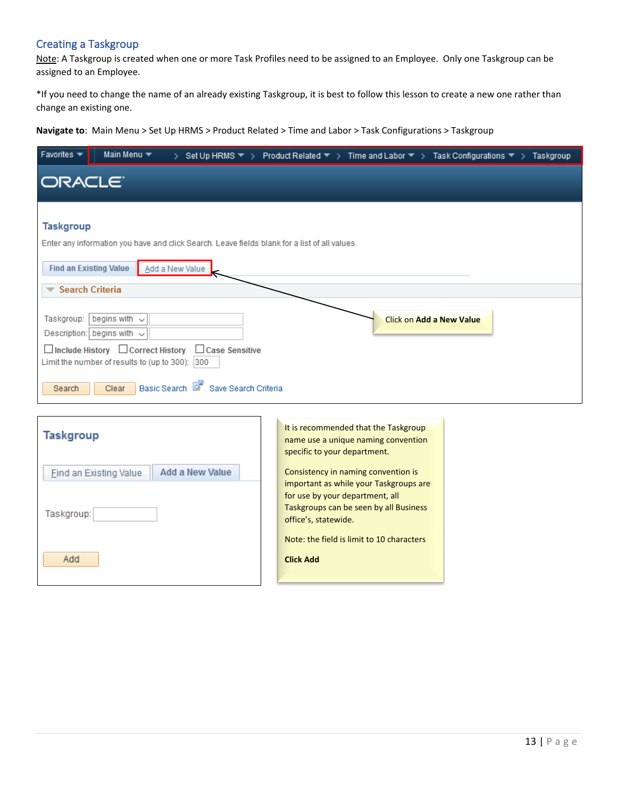#### <span id="page-12-0"></span>Creating a Taskgroup

Note: A Taskgroup is created when one or more Task Profiles need to be assigned to an Employee. Only one Taskgroup can be assigned to an Employee.

\*If you need to change the name of an already existing Taskgroup, it is best to follow this lesson to create a new one rather than change an existing one.

**Navigate to**: Main Menu > Set Up HRMS > Product Related > Time and Labor > Task Configurations > Taskgroup

| Favorites $\blacktriangledown$<br>Main Menu $\blacktriangledown$<br>Set Up HRMS ▼ > Product Related ▼ > Time and Labor ▼ > Task Configurations ▼ > Taskgroup |
|--------------------------------------------------------------------------------------------------------------------------------------------------------------|
| ORACLE <sup>®</sup>                                                                                                                                          |
| Taskgroup                                                                                                                                                    |
| Enter any information you have and click Search. Leave fields blank for a list of all values.                                                                |
| <b>Find an Existing Value</b><br>Add a New Value                                                                                                             |
| <b>Search Criteria</b><br>$\overline{\phantom{a}}$                                                                                                           |
| begins with $\sim$<br>Taskgroup:<br><b>Click on Add a New Value</b><br>Description: begins with $\sim$                                                       |
| $\Box$ Include History $\Box$ Correct History<br>Case Sensitive<br>Limit the number of results to (up to 300): 300                                           |
| Basic Search & Save Search Criteria<br>Clear<br>Search                                                                                                       |

| Taskgroup                                 | It is recommended that the Taskgroup<br>name use a unique naming convention<br>specific to your department.      |
|-------------------------------------------|------------------------------------------------------------------------------------------------------------------|
| Add a New Value<br>Find an Existing Value | Consistency in naming convention is<br>important as while your Taskgroups are<br>for use by your department, all |
| Taskgroup:                                | Taskgroups can be seen by all Business<br>office's, statewide.                                                   |
| Add                                       | Note: the field is limit to 10 characters<br><b>Click Add</b>                                                    |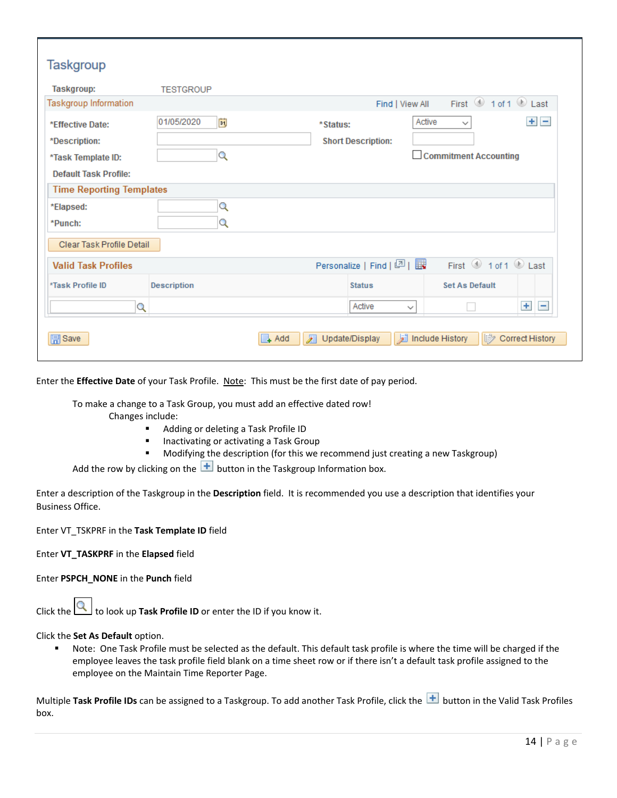| <b>Taskgroup:</b>               | <b>TESTGROUP</b>   |                   |                           |                 |                                         |                                   |
|---------------------------------|--------------------|-------------------|---------------------------|-----------------|-----------------------------------------|-----------------------------------|
| Taskgroup Information           |                    |                   | Find   View All           |                 | First 1 of 1 D Last                     |                                   |
| *Effective Date:                | 01/05/2020<br>Ëij  | *Status:          |                           | Active          | $\checkmark$                            | $+$ $-$                           |
| *Description:                   |                    |                   | <b>Short Description:</b> |                 |                                         |                                   |
| *Task Template ID:              | Q                  |                   |                           |                 | $\Box$ Commitment Accounting            |                                   |
| <b>Default Task Profile:</b>    |                    |                   |                           |                 |                                         |                                   |
| <b>Time Reporting Templates</b> |                    |                   |                           |                 |                                         |                                   |
| *Elapsed:                       | Q                  |                   |                           |                 |                                         |                                   |
| *Punch:                         | Q                  |                   |                           |                 |                                         |                                   |
| Clear Task Profile Detail       |                    |                   |                           |                 |                                         |                                   |
| <b>Valid Task Profiles</b>      |                    |                   | Personalize   Find   2    |                 | First $\bigcirc$ 1 of 1 $\bigcirc$ Last |                                   |
| *Task Profile ID                | <b>Description</b> |                   | <b>Status</b>             |                 | <b>Set As Default</b>                   |                                   |
| Q                               |                    |                   | Active                    | $\checkmark$    |                                         | $\pm$<br>$\overline{\phantom{0}}$ |
|                                 |                    |                   |                           |                 |                                         |                                   |
| <b>同</b> Save                   |                    | <b>B</b> Add<br>园 | Update/Display            | Include History | 眇                                       | Correct History                   |

Enter the **Effective Date** of your Task Profile. Note: This must be the first date of pay period.

To make a change to a Task Group, you must add an effective dated row!

Changes include:

- Adding or deleting a Task Profile ID
- Inactivating or activating a Task Group
- Modifying the description (for this we recommend just creating a new Taskgroup)

Add the row by clicking on the  $\pm$  button in the Taskgroup Information box.

Enter a description of the Taskgroup in the **Description** field. It is recommended you use a description that identifies your Business Office.

Enter VT\_TSKPRF in the **Task Template ID** field

Enter **VT\_TASKPRF** in the **Elapsed** field

Enter **PSPCH\_NONE** in the **Punch** field

Click the  $\boxed{Q}$  to look up **Task Profile ID** or enter the ID if you know it.

Click the **Set As Default** option.

Note: One Task Profile must be selected as the default. This default task profile is where the time will be charged if the employee leaves the task profile field blank on a time sheet row or if there isn't a default task profile assigned to the employee on the Maintain Time Reporter Page.

Multiple Task Profile IDs can be assigned to a Taskgroup. To add another Task Profile, click the **+** button in the Valid Task Profiles box.